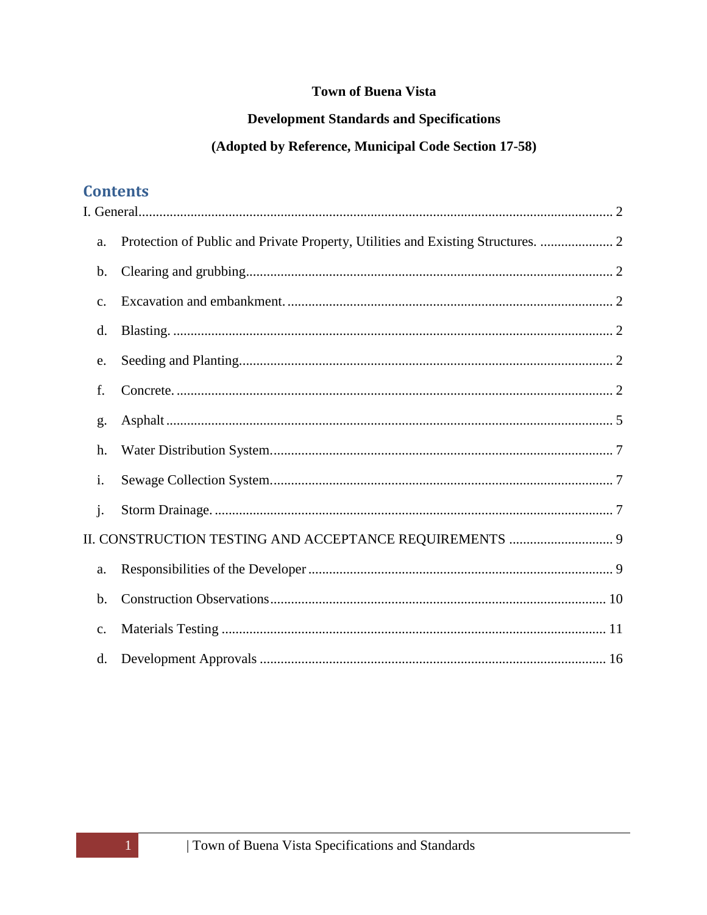# **Town of Buena Vista**

# **Development Standards and Specifications**

# (Adopted by Reference, Municipal Code Section 17-58)

# **Contents**

| a.                                                      | Protection of Public and Private Property, Utilities and Existing Structures.  2 |  |
|---------------------------------------------------------|----------------------------------------------------------------------------------|--|
| b.                                                      |                                                                                  |  |
| $\mathcal{C}$ .                                         |                                                                                  |  |
| d.                                                      |                                                                                  |  |
| e.                                                      |                                                                                  |  |
| f.                                                      |                                                                                  |  |
| g.                                                      |                                                                                  |  |
| h.                                                      |                                                                                  |  |
| i.                                                      |                                                                                  |  |
| $\mathbf{i}$ .                                          |                                                                                  |  |
| II. CONSTRUCTION TESTING AND ACCEPTANCE REQUIREMENTS  9 |                                                                                  |  |
| a.                                                      |                                                                                  |  |
| $\mathbf b$ .                                           |                                                                                  |  |
| $\mathbf{C}$ .                                          |                                                                                  |  |
| d.                                                      |                                                                                  |  |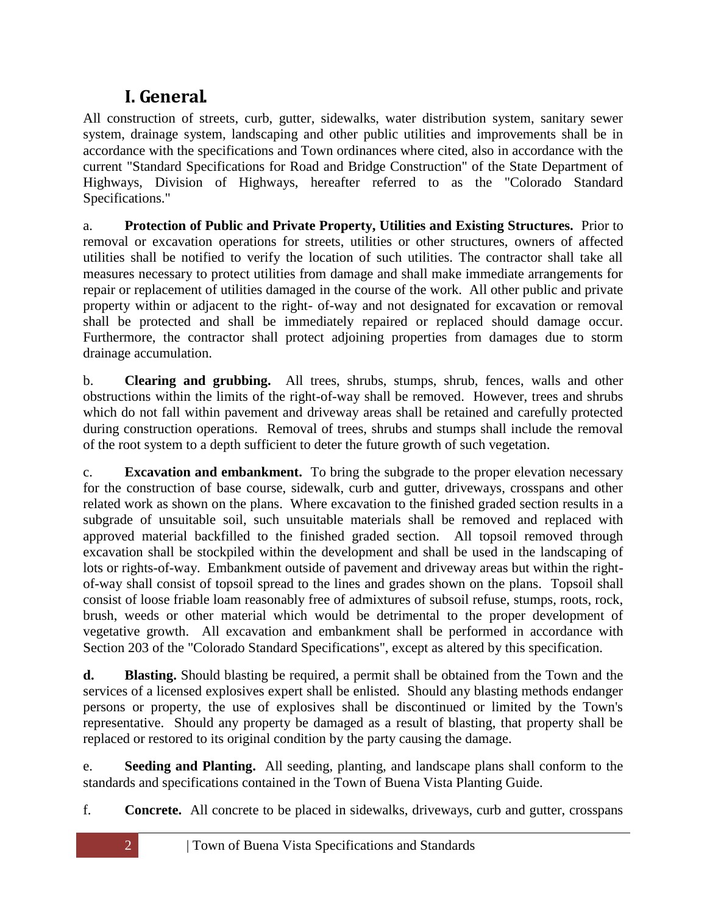# **I. General.**

<span id="page-1-0"></span>All construction of streets, curb, gutter, sidewalks, water distribution system, sanitary sewer system, drainage system, landscaping and other public utilities and improvements shall be in accordance with the specifications and Town ordinances where cited, also in accordance with the current "Standard Specifications for Road and Bridge Construction" of the State Department of Highways, Division of Highways, hereafter referred to as the "Colorado Standard Specifications."

<span id="page-1-1"></span>a. **Protection of Public and Private Property, Utilities and Existing Structures.** Prior to removal or excavation operations for streets, utilities or other structures, owners of affected utilities shall be notified to verify the location of such utilities. The contractor shall take all measures necessary to protect utilities from damage and shall make immediate arrangements for repair or replacement of utilities damaged in the course of the work. All other public and private property within or adjacent to the right- of-way and not designated for excavation or removal shall be protected and shall be immediately repaired or replaced should damage occur. Furthermore, the contractor shall protect adjoining properties from damages due to storm drainage accumulation.

<span id="page-1-2"></span>b. **Clearing and grubbing.** All trees, shrubs, stumps, shrub, fences, walls and other obstructions within the limits of the right-of-way shall be removed. However, trees and shrubs which do not fall within pavement and driveway areas shall be retained and carefully protected during construction operations. Removal of trees, shrubs and stumps shall include the removal of the root system to a depth sufficient to deter the future growth of such vegetation.

<span id="page-1-3"></span>c. **Excavation and embankment.** To bring the subgrade to the proper elevation necessary for the construction of base course, sidewalk, curb and gutter, driveways, crosspans and other related work as shown on the plans. Where excavation to the finished graded section results in a subgrade of unsuitable soil, such unsuitable materials shall be removed and replaced with approved material backfilled to the finished graded section. All topsoil removed through excavation shall be stockpiled within the development and shall be used in the landscaping of lots or rights-of-way. Embankment outside of pavement and driveway areas but within the rightof-way shall consist of topsoil spread to the lines and grades shown on the plans. Topsoil shall consist of loose friable loam reasonably free of admixtures of subsoil refuse, stumps, roots, rock, brush, weeds or other material which would be detrimental to the proper development of vegetative growth. All excavation and embankment shall be performed in accordance with Section 203 of the "Colorado Standard Specifications", except as altered by this specification.

<span id="page-1-4"></span>**d. Blasting.** Should blasting be required, a permit shall be obtained from the Town and the services of a licensed explosives expert shall be enlisted. Should any blasting methods endanger persons or property, the use of explosives shall be discontinued or limited by the Town's representative. Should any property be damaged as a result of blasting, that property shall be replaced or restored to its original condition by the party causing the damage.

<span id="page-1-5"></span>e. **Seeding and Planting.** All seeding, planting, and landscape plans shall conform to the standards and specifications contained in the Town of Buena Vista Planting Guide.

<span id="page-1-6"></span>f. **Concrete.** All concrete to be placed in sidewalks, driveways, curb and gutter, crosspans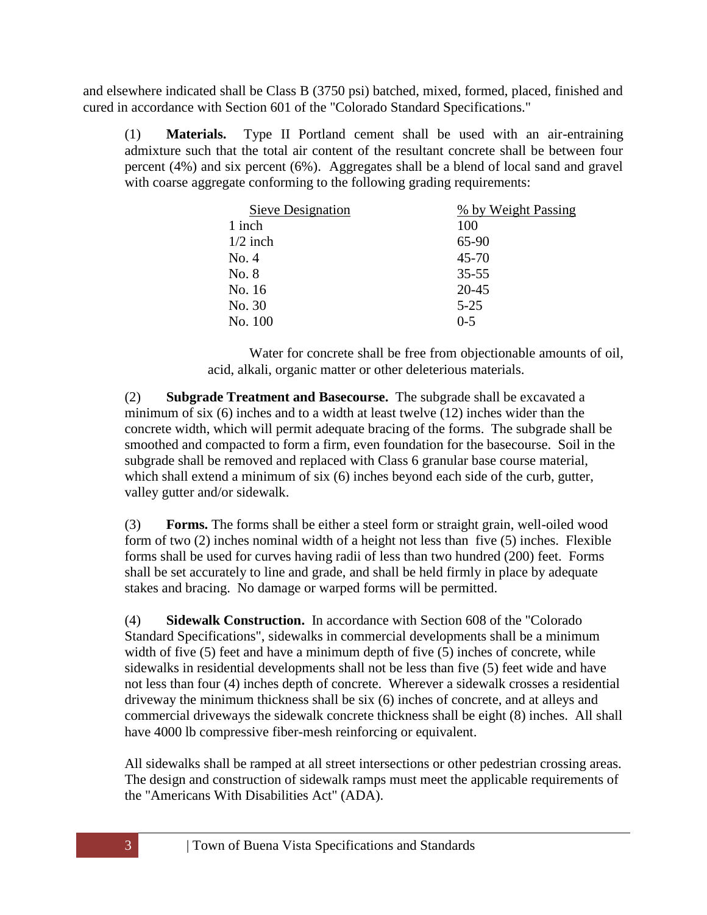and elsewhere indicated shall be Class B (3750 psi) batched, mixed, formed, placed, finished and cured in accordance with Section 601 of the "Colorado Standard Specifications."

(1) **Materials.** Type II Portland cement shall be used with an air-entraining admixture such that the total air content of the resultant concrete shall be between four percent (4%) and six percent (6%). Aggregates shall be a blend of local sand and gravel with coarse aggregate conforming to the following grading requirements:

| Sieve Designation | % by Weight Passing |
|-------------------|---------------------|
| 1 inch            | 100                 |
| $1/2$ inch        | 65-90               |
| No. 4             | $45 - 70$           |
| No. 8             | $35 - 55$           |
| No. 16            | 20-45               |
| No. 30            | $5 - 25$            |
| No. 100           | $0 - 5$             |

Water for concrete shall be free from objectionable amounts of oil, acid, alkali, organic matter or other deleterious materials.

(2) **Subgrade Treatment and Basecourse.** The subgrade shall be excavated a minimum of six (6) inches and to a width at least twelve (12) inches wider than the concrete width, which will permit adequate bracing of the forms. The subgrade shall be smoothed and compacted to form a firm, even foundation for the basecourse. Soil in the subgrade shall be removed and replaced with Class 6 granular base course material, which shall extend a minimum of six (6) inches beyond each side of the curb, gutter, valley gutter and/or sidewalk.

(3) **Forms.** The forms shall be either a steel form or straight grain, well-oiled wood form of two (2) inches nominal width of a height not less than five (5) inches. Flexible forms shall be used for curves having radii of less than two hundred (200) feet. Forms shall be set accurately to line and grade, and shall be held firmly in place by adequate stakes and bracing. No damage or warped forms will be permitted.

(4) **Sidewalk Construction.** In accordance with Section 608 of the "Colorado Standard Specifications", sidewalks in commercial developments shall be a minimum width of five (5) feet and have a minimum depth of five (5) inches of concrete, while sidewalks in residential developments shall not be less than five (5) feet wide and have not less than four (4) inches depth of concrete. Wherever a sidewalk crosses a residential driveway the minimum thickness shall be six (6) inches of concrete, and at alleys and commercial driveways the sidewalk concrete thickness shall be eight (8) inches. All shall have 4000 lb compressive fiber-mesh reinforcing or equivalent.

All sidewalks shall be ramped at all street intersections or other pedestrian crossing areas. The design and construction of sidewalk ramps must meet the applicable requirements of the "Americans With Disabilities Act" (ADA).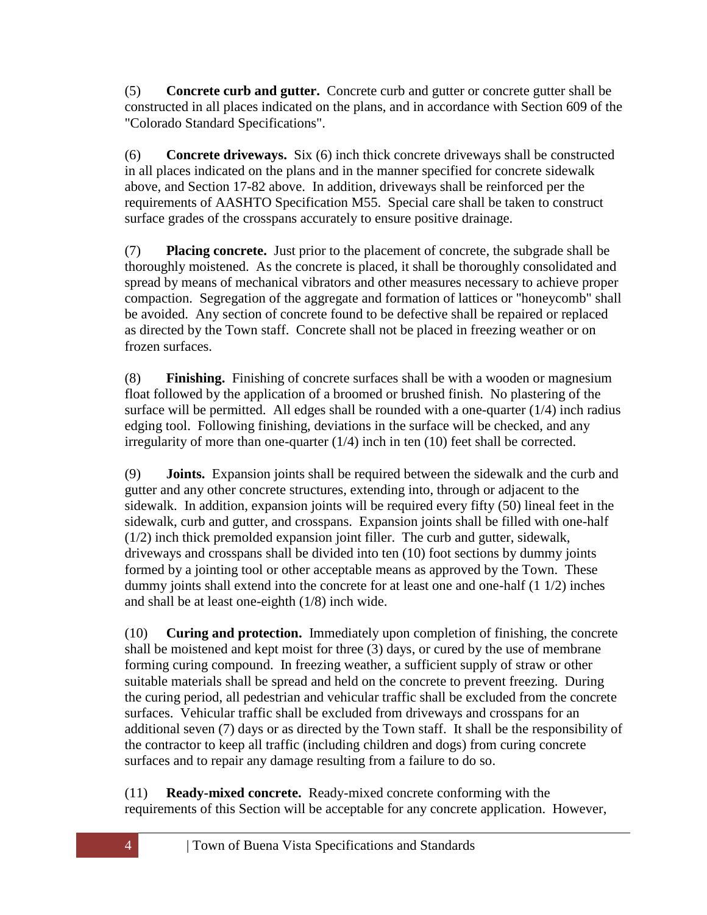(5) **Concrete curb and gutter.** Concrete curb and gutter or concrete gutter shall be constructed in all places indicated on the plans, and in accordance with Section 609 of the "Colorado Standard Specifications".

(6) **Concrete driveways.** Six (6) inch thick concrete driveways shall be constructed in all places indicated on the plans and in the manner specified for concrete sidewalk above, and Section 17-82 above. In addition, driveways shall be reinforced per the requirements of AASHTO Specification M55. Special care shall be taken to construct surface grades of the crosspans accurately to ensure positive drainage.

(7) **Placing concrete.** Just prior to the placement of concrete, the subgrade shall be thoroughly moistened. As the concrete is placed, it shall be thoroughly consolidated and spread by means of mechanical vibrators and other measures necessary to achieve proper compaction. Segregation of the aggregate and formation of lattices or "honeycomb" shall be avoided. Any section of concrete found to be defective shall be repaired or replaced as directed by the Town staff. Concrete shall not be placed in freezing weather or on frozen surfaces.

(8) **Finishing.** Finishing of concrete surfaces shall be with a wooden or magnesium float followed by the application of a broomed or brushed finish. No plastering of the surface will be permitted. All edges shall be rounded with a one-quarter  $(1/4)$  inch radius edging tool. Following finishing, deviations in the surface will be checked, and any irregularity of more than one-quarter (1/4) inch in ten (10) feet shall be corrected.

(9) **Joints.** Expansion joints shall be required between the sidewalk and the curb and gutter and any other concrete structures, extending into, through or adjacent to the sidewalk. In addition, expansion joints will be required every fifty (50) lineal feet in the sidewalk, curb and gutter, and crosspans. Expansion joints shall be filled with one-half (1/2) inch thick premolded expansion joint filler. The curb and gutter, sidewalk, driveways and crosspans shall be divided into ten (10) foot sections by dummy joints formed by a jointing tool or other acceptable means as approved by the Town. These dummy joints shall extend into the concrete for at least one and one-half (1 1/2) inches and shall be at least one-eighth (1/8) inch wide.

(10) **Curing and protection.** Immediately upon completion of finishing, the concrete shall be moistened and kept moist for three (3) days, or cured by the use of membrane forming curing compound. In freezing weather, a sufficient supply of straw or other suitable materials shall be spread and held on the concrete to prevent freezing. During the curing period, all pedestrian and vehicular traffic shall be excluded from the concrete surfaces. Vehicular traffic shall be excluded from driveways and crosspans for an additional seven (7) days or as directed by the Town staff. It shall be the responsibility of the contractor to keep all traffic (including children and dogs) from curing concrete surfaces and to repair any damage resulting from a failure to do so.

(11) **Ready-mixed concrete.** Ready-mixed concrete conforming with the requirements of this Section will be acceptable for any concrete application. However,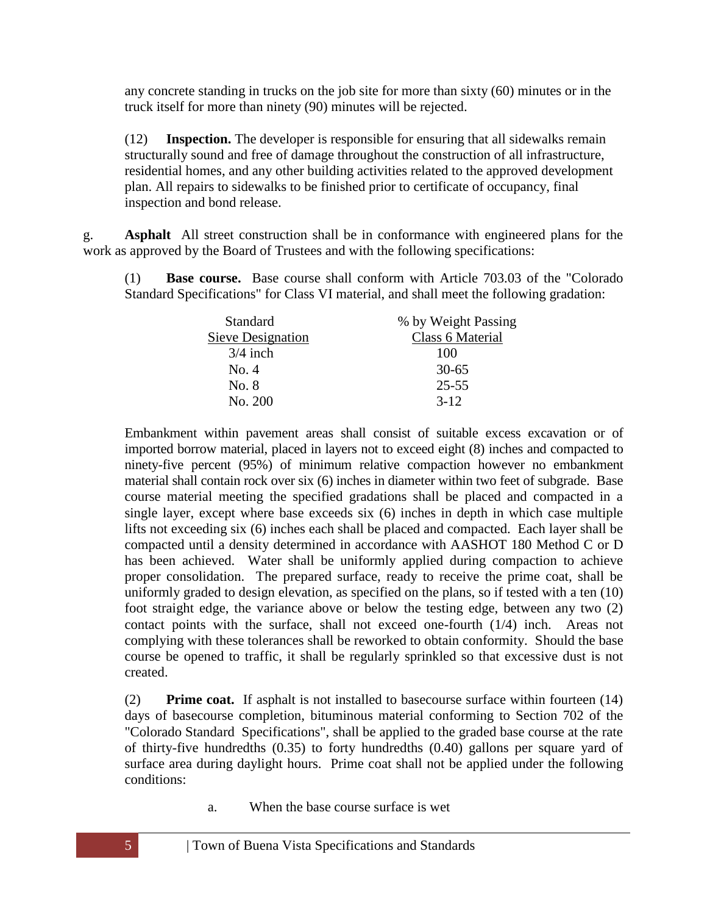any concrete standing in trucks on the job site for more than sixty (60) minutes or in the truck itself for more than ninety (90) minutes will be rejected.

(12) **Inspection.** The developer is responsible for ensuring that all sidewalks remain structurally sound and free of damage throughout the construction of all infrastructure, residential homes, and any other building activities related to the approved development plan. All repairs to sidewalks to be finished prior to certificate of occupancy, final inspection and bond release.

<span id="page-4-0"></span>g. **Asphalt** All street construction shall be in conformance with engineered plans for the work as approved by the Board of Trustees and with the following specifications:

(1) **Base course.** Base course shall conform with Article 703.03 of the "Colorado Standard Specifications" for Class VI material, and shall meet the following gradation:

| <b>Standard</b>   | % by Weight Passing |
|-------------------|---------------------|
| Sieve Designation | Class 6 Material    |
| $3/4$ inch        | 100                 |
| No. 4             | $30 - 65$           |
| No. 8             | $25 - 55$           |
| No. 200           | $3 - 12$            |

Embankment within pavement areas shall consist of suitable excess excavation or of imported borrow material, placed in layers not to exceed eight (8) inches and compacted to ninety-five percent (95%) of minimum relative compaction however no embankment material shall contain rock over six (6) inches in diameter within two feet of subgrade. Base course material meeting the specified gradations shall be placed and compacted in a single layer, except where base exceeds six (6) inches in depth in which case multiple lifts not exceeding six (6) inches each shall be placed and compacted. Each layer shall be compacted until a density determined in accordance with AASHOT 180 Method C or D has been achieved. Water shall be uniformly applied during compaction to achieve proper consolidation. The prepared surface, ready to receive the prime coat, shall be uniformly graded to design elevation, as specified on the plans, so if tested with a ten (10) foot straight edge, the variance above or below the testing edge, between any two (2) contact points with the surface, shall not exceed one-fourth (1/4) inch. Areas not complying with these tolerances shall be reworked to obtain conformity. Should the base course be opened to traffic, it shall be regularly sprinkled so that excessive dust is not created.

(2) **Prime coat.** If asphalt is not installed to basecourse surface within fourteen (14) days of basecourse completion, bituminous material conforming to Section 702 of the "Colorado Standard Specifications", shall be applied to the graded base course at the rate of thirty-five hundredths (0.35) to forty hundredths (0.40) gallons per square yard of surface area during daylight hours. Prime coat shall not be applied under the following conditions:

a. When the base course surface is wet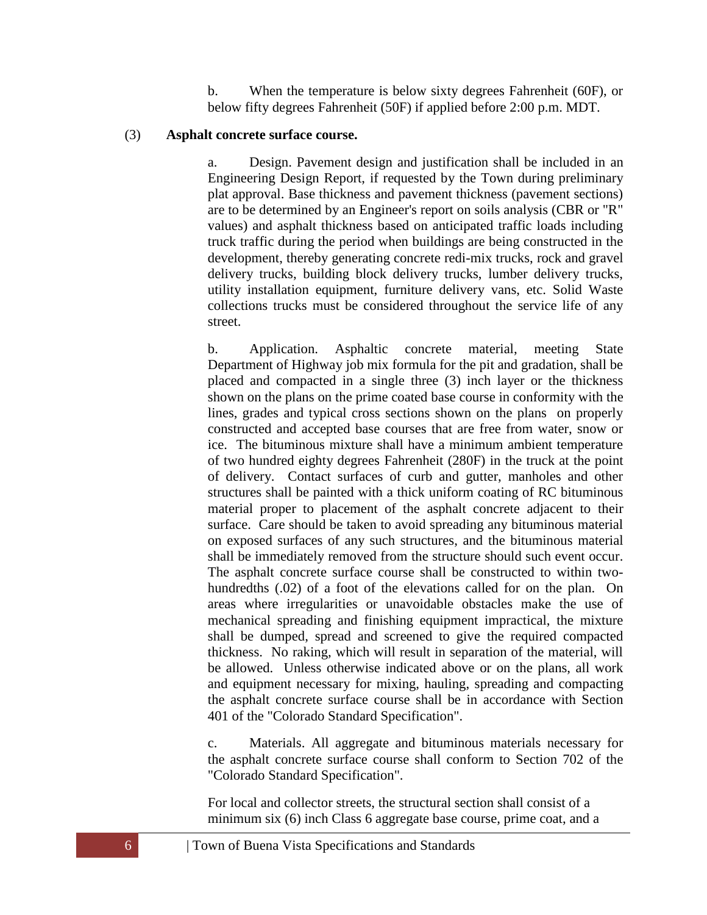b. When the temperature is below sixty degrees Fahrenheit (60F), or below fifty degrees Fahrenheit (50F) if applied before 2:00 p.m. MDT.

#### (3) **Asphalt concrete surface course.**

a. Design. Pavement design and justification shall be included in an Engineering Design Report, if requested by the Town during preliminary plat approval. Base thickness and pavement thickness (pavement sections) are to be determined by an Engineer's report on soils analysis (CBR or "R" values) and asphalt thickness based on anticipated traffic loads including truck traffic during the period when buildings are being constructed in the development, thereby generating concrete redi-mix trucks, rock and gravel delivery trucks, building block delivery trucks, lumber delivery trucks, utility installation equipment, furniture delivery vans, etc. Solid Waste collections trucks must be considered throughout the service life of any street.

b. Application. Asphaltic concrete material, meeting State Department of Highway job mix formula for the pit and gradation, shall be placed and compacted in a single three (3) inch layer or the thickness shown on the plans on the prime coated base course in conformity with the lines, grades and typical cross sections shown on the plans on properly constructed and accepted base courses that are free from water, snow or ice. The bituminous mixture shall have a minimum ambient temperature of two hundred eighty degrees Fahrenheit (280F) in the truck at the point of delivery. Contact surfaces of curb and gutter, manholes and other structures shall be painted with a thick uniform coating of RC bituminous material proper to placement of the asphalt concrete adjacent to their surface. Care should be taken to avoid spreading any bituminous material on exposed surfaces of any such structures, and the bituminous material shall be immediately removed from the structure should such event occur. The asphalt concrete surface course shall be constructed to within twohundredths (.02) of a foot of the elevations called for on the plan. On areas where irregularities or unavoidable obstacles make the use of mechanical spreading and finishing equipment impractical, the mixture shall be dumped, spread and screened to give the required compacted thickness. No raking, which will result in separation of the material, will be allowed. Unless otherwise indicated above or on the plans, all work and equipment necessary for mixing, hauling, spreading and compacting the asphalt concrete surface course shall be in accordance with Section 401 of the "Colorado Standard Specification".

c. Materials. All aggregate and bituminous materials necessary for the asphalt concrete surface course shall conform to Section 702 of the "Colorado Standard Specification".

For local and collector streets, the structural section shall consist of a minimum six (6) inch Class 6 aggregate base course, prime coat, and a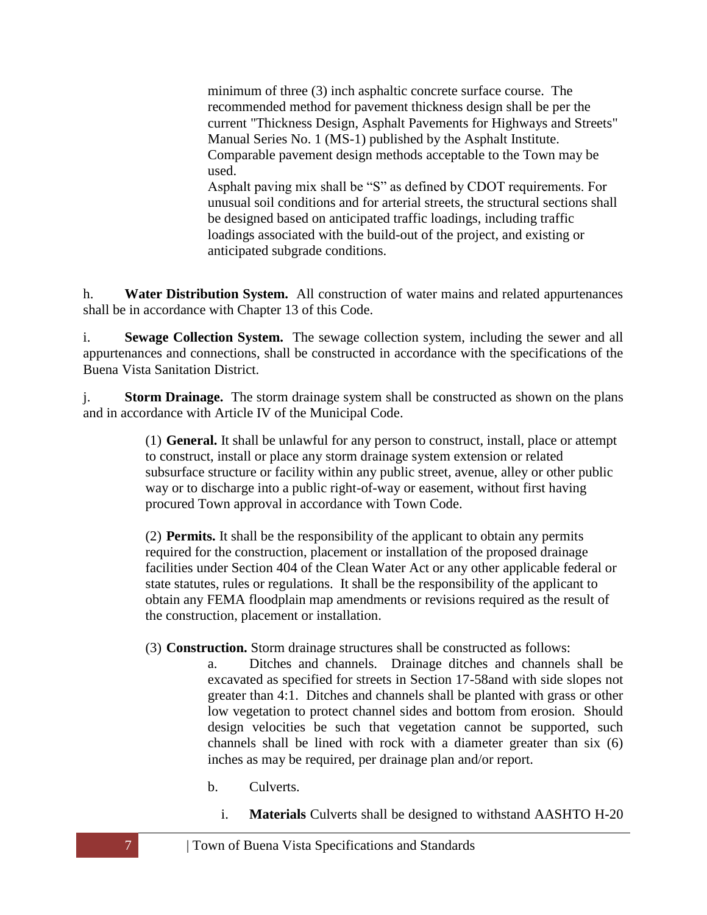minimum of three (3) inch asphaltic concrete surface course. The recommended method for pavement thickness design shall be per the current "Thickness Design, Asphalt Pavements for Highways and Streets" Manual Series No. 1 (MS-1) published by the Asphalt Institute. Comparable pavement design methods acceptable to the Town may be used.

Asphalt paving mix shall be "S" as defined by CDOT requirements. For unusual soil conditions and for arterial streets, the structural sections shall be designed based on anticipated traffic loadings, including traffic loadings associated with the build-out of the project, and existing or anticipated subgrade conditions.

<span id="page-6-0"></span>h. **Water Distribution System.** All construction of water mains and related appurtenances shall be in accordance with Chapter 13 of this Code.

<span id="page-6-1"></span>i. **Sewage Collection System.** The sewage collection system, including the sewer and all appurtenances and connections, shall be constructed in accordance with the specifications of the Buena Vista Sanitation District.

<span id="page-6-2"></span>j. **Storm Drainage.** The storm drainage system shall be constructed as shown on the plans and in accordance with Article IV of the Municipal Code.

> (1) **General.** It shall be unlawful for any person to construct, install, place or attempt to construct, install or place any storm drainage system extension or related subsurface structure or facility within any public street, avenue, alley or other public way or to discharge into a public right-of-way or easement, without first having procured Town approval in accordance with Town Code.

> (2) **Permits.** It shall be the responsibility of the applicant to obtain any permits required for the construction, placement or installation of the proposed drainage facilities under Section 404 of the Clean Water Act or any other applicable federal or state statutes, rules or regulations. It shall be the responsibility of the applicant to obtain any FEMA floodplain map amendments or revisions required as the result of the construction, placement or installation.

(3) **Construction.** Storm drainage structures shall be constructed as follows:

- a. Ditches and channels. Drainage ditches and channels shall be excavated as specified for streets in Section 17-58and with side slopes not greater than 4:1. Ditches and channels shall be planted with grass or other low vegetation to protect channel sides and bottom from erosion. Should design velocities be such that vegetation cannot be supported, such channels shall be lined with rock with a diameter greater than six (6) inches as may be required, per drainage plan and/or report.
	- b. Culverts.
		- i. **Materials** Culverts shall be designed to withstand AASHTO H-20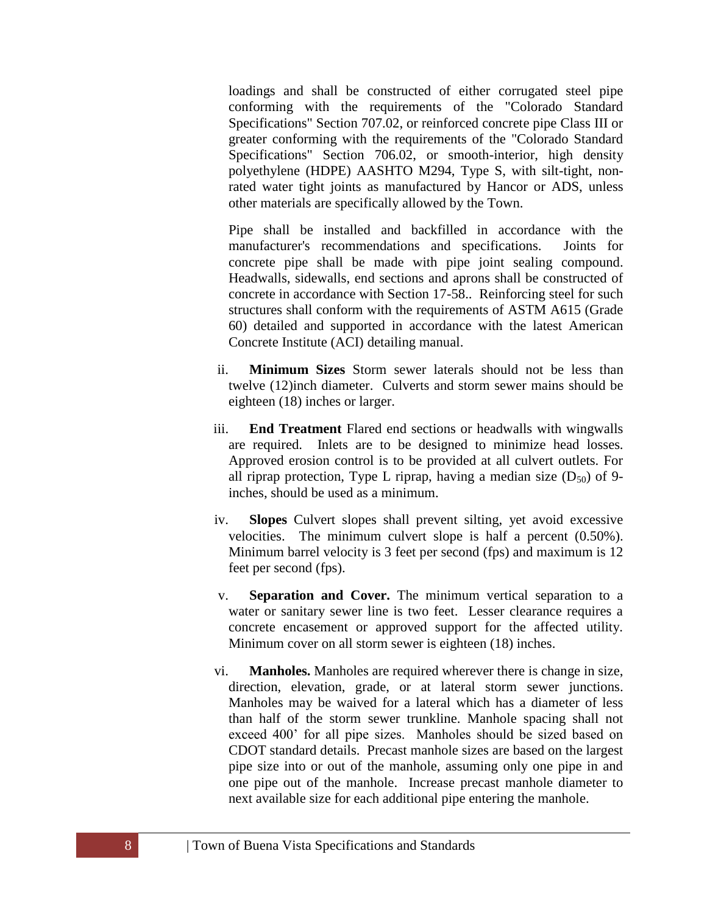loadings and shall be constructed of either corrugated steel pipe conforming with the requirements of the "Colorado Standard Specifications" Section 707.02, or reinforced concrete pipe Class III or greater conforming with the requirements of the "Colorado Standard Specifications" Section 706.02, or smooth-interior, high density polyethylene (HDPE) AASHTO M294, Type S, with silt-tight, nonrated water tight joints as manufactured by Hancor or ADS, unless other materials are specifically allowed by the Town.

Pipe shall be installed and backfilled in accordance with the manufacturer's recommendations and specifications. Joints for concrete pipe shall be made with pipe joint sealing compound. Headwalls, sidewalls, end sections and aprons shall be constructed of concrete in accordance with Section 17-58.. Reinforcing steel for such structures shall conform with the requirements of ASTM A615 (Grade 60) detailed and supported in accordance with the latest American Concrete Institute (ACI) detailing manual.

- ii. **Minimum Sizes** Storm sewer laterals should not be less than twelve (12)inch diameter. Culverts and storm sewer mains should be eighteen (18) inches or larger.
- iii. **End Treatment** Flared end sections or headwalls with wingwalls are required. Inlets are to be designed to minimize head losses. Approved erosion control is to be provided at all culvert outlets. For all riprap protection, Type L riprap, having a median size  $(D_{50})$  of 9inches, should be used as a minimum.
- iv. **Slopes** Culvert slopes shall prevent silting, yet avoid excessive velocities. The minimum culvert slope is half a percent (0.50%). Minimum barrel velocity is 3 feet per second (fps) and maximum is 12 feet per second (fps).
- v. **Separation and Cover.** The minimum vertical separation to a water or sanitary sewer line is two feet. Lesser clearance requires a concrete encasement or approved support for the affected utility. Minimum cover on all storm sewer is eighteen (18) inches.
- vi. **Manholes.** Manholes are required wherever there is change in size, direction, elevation, grade, or at lateral storm sewer junctions. Manholes may be waived for a lateral which has a diameter of less than half of the storm sewer trunkline. Manhole spacing shall not exceed 400' for all pipe sizes. Manholes should be sized based on CDOT standard details. Precast manhole sizes are based on the largest pipe size into or out of the manhole, assuming only one pipe in and one pipe out of the manhole. Increase precast manhole diameter to next available size for each additional pipe entering the manhole.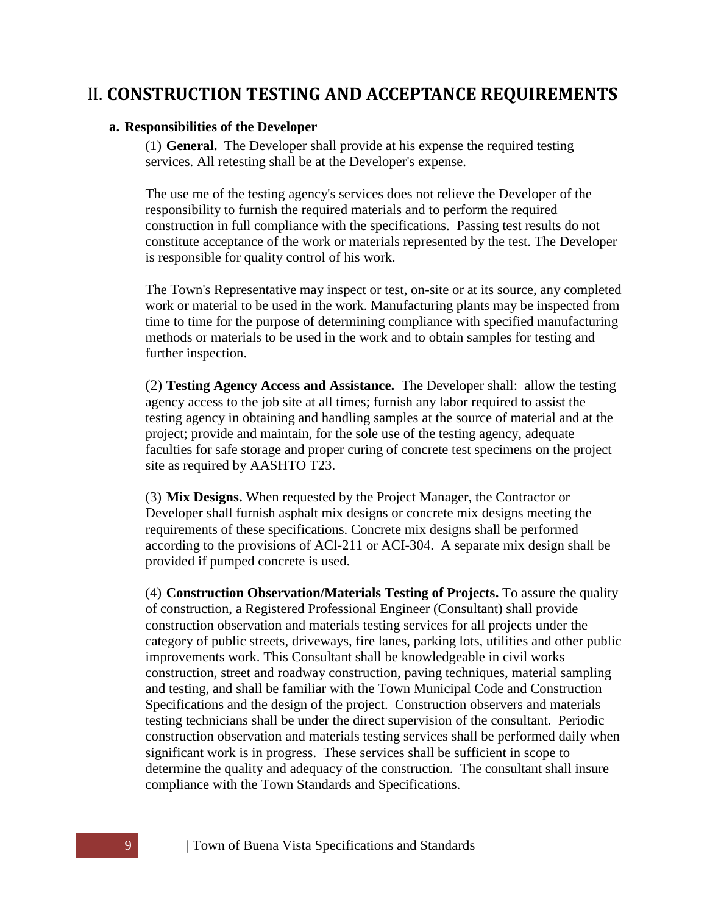# <span id="page-8-1"></span><span id="page-8-0"></span>II. **CONSTRUCTION TESTING AND ACCEPTANCE REQUIREMENTS**

#### **a. Responsibilities of the Developer**

(1) **General.** The Developer shall provide at his expense the required testing services. All retesting shall be at the Developer's expense.

The use me of the testing agency's services does not relieve the Developer of the responsibility to furnish the required materials and to perform the required construction in full compliance with the specifications. Passing test results do not constitute acceptance of the work or materials represented by the test. The Developer is responsible for quality control of his work.

The Town's Representative may inspect or test, on-site or at its source, any completed work or material to be used in the work. Manufacturing plants may be inspected from time to time for the purpose of determining compliance with specified manufacturing methods or materials to be used in the work and to obtain samples for testing and further inspection.

(2) **Testing Agency Access and Assistance.** The Developer shall: allow the testing agency access to the job site at all times; furnish any labor required to assist the testing agency in obtaining and handling samples at the source of material and at the project; provide and maintain, for the sole use of the testing agency, adequate faculties for safe storage and proper curing of concrete test specimens on the project site as required by AASHTO T23.

(3) **Mix Designs.** When requested by the Project Manager, the Contractor or Developer shall furnish asphalt mix designs or concrete mix designs meeting the requirements of these specifications. Concrete mix designs shall be performed according to the provisions of ACl-211 or ACI-304. A separate mix design shall be provided if pumped concrete is used.

(4) **Construction Observation/Materials Testing of Projects.** To assure the quality of construction, a Registered Professional Engineer (Consultant) shall provide construction observation and materials testing services for all projects under the category of public streets, driveways, fire lanes, parking lots, utilities and other public improvements work. This Consultant shall be knowledgeable in civil works construction, street and roadway construction, paving techniques, material sampling and testing, and shall be familiar with the Town Municipal Code and Construction Specifications and the design of the project. Construction observers and materials testing technicians shall be under the direct supervision of the consultant. Periodic construction observation and materials testing services shall be performed daily when significant work is in progress. These services shall be sufficient in scope to determine the quality and adequacy of the construction. The consultant shall insure compliance with the Town Standards and Specifications.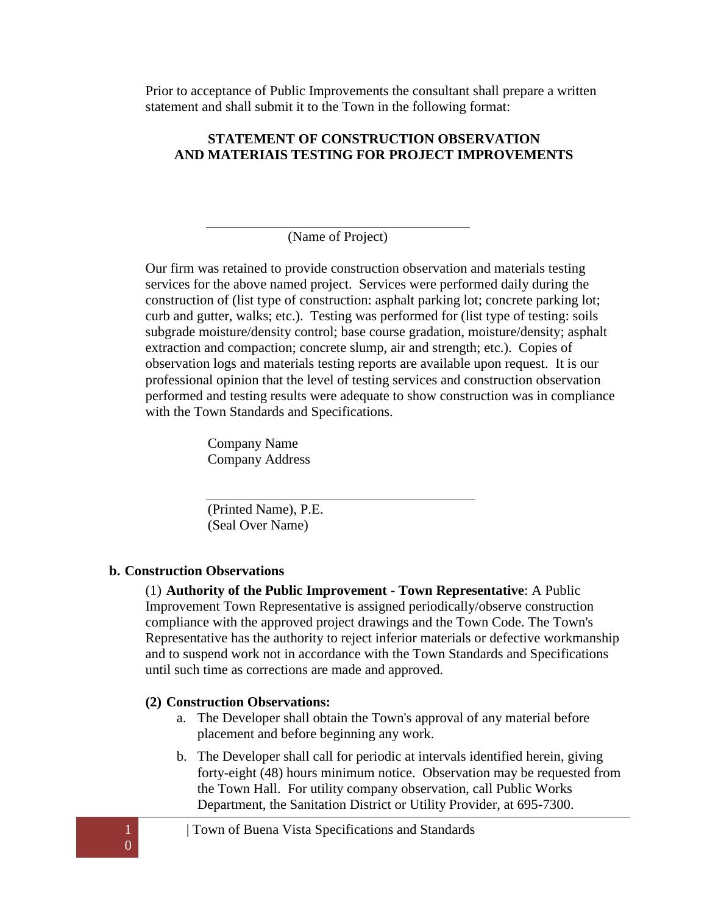Prior to acceptance of Public Improvements the consultant shall prepare a written statement and shall submit it to the Town in the following format:

#### **STATEMENT OF CONSTRUCTION OBSERVATION AND MATERIAIS TESTING FOR PROJECT IMPROVEMENTS**

(Name of Project)

Our firm was retained to provide construction observation and materials testing services for the above named project. Services were performed daily during the construction of (list type of construction: asphalt parking lot; concrete parking lot; curb and gutter, walks; etc.). Testing was performed for (list type of testing: soils subgrade moisture/density control; base course gradation, moisture/density; asphalt extraction and compaction; concrete slump, air and strength; etc.). Copies of observation logs and materials testing reports are available upon request. It is our professional opinion that the level of testing services and construction observation performed and testing results were adequate to show construction was in compliance with the Town Standards and Specifications.

> Company Name Company Address

(Printed Name), P.E. (Seal Over Name)

## <span id="page-9-0"></span>**b. Construction Observations**

(1) **Authority of the Public Improvement - Town Representative**: A Public Improvement Town Representative is assigned periodically/observe construction compliance with the approved project drawings and the Town Code. The Town's Representative has the authority to reject inferior materials or defective workmanship and to suspend work not in accordance with the Town Standards and Specifications until such time as corrections are made and approved.

#### **(2) Construction Observations:**

- a. The Developer shall obtain the Town's approval of any material before placement and before beginning any work.
- b. The Developer shall call for periodic at intervals identified herein, giving forty-eight (48) hours minimum notice. Observation may be requested from the Town Hall. For utility company observation, call Public Works Department, the Sanitation District or Utility Provider, at 695-7300.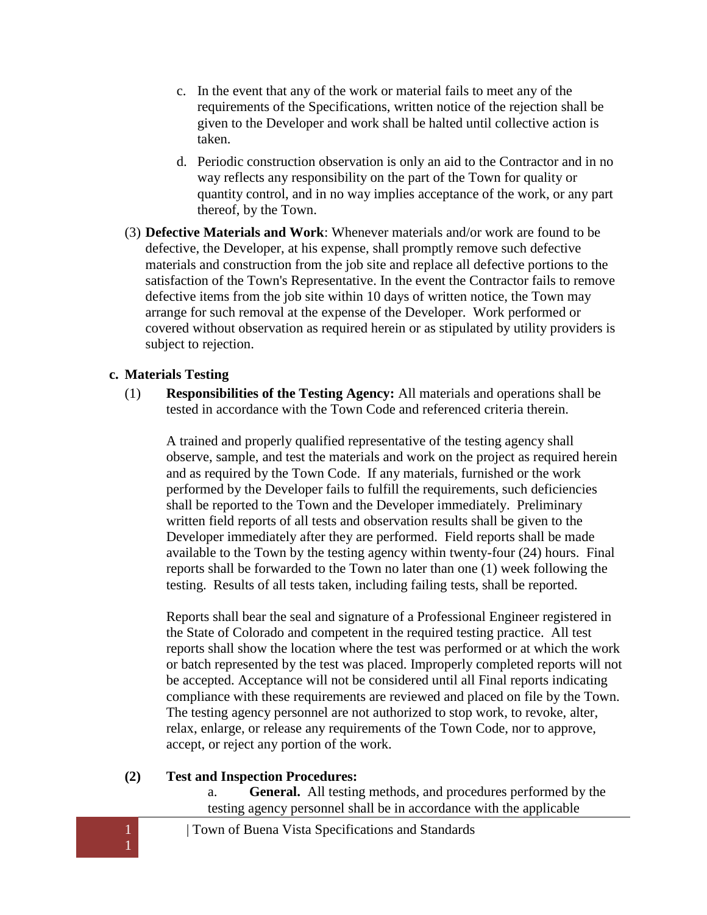- c. In the event that any of the work or material fails to meet any of the requirements of the Specifications, written notice of the rejection shall be given to the Developer and work shall be halted until collective action is taken.
- d. Periodic construction observation is only an aid to the Contractor and in no way reflects any responsibility on the part of the Town for quality or quantity control, and in no way implies acceptance of the work, or any part thereof, by the Town.
- (3) **Defective Materials and Work**: Whenever materials and/or work are found to be defective, the Developer, at his expense, shall promptly remove such defective materials and construction from the job site and replace all defective portions to the satisfaction of the Town's Representative. In the event the Contractor fails to remove defective items from the job site within 10 days of written notice, the Town may arrange for such removal at the expense of the Developer. Work performed or covered without observation as required herein or as stipulated by utility providers is subject to rejection.

#### <span id="page-10-0"></span>**c. Materials Testing**

(1) **Responsibilities of the Testing Agency:** All materials and operations shall be tested in accordance with the Town Code and referenced criteria therein.

A trained and properly qualified representative of the testing agency shall observe, sample, and test the materials and work on the project as required herein and as required by the Town Code. If any materials, furnished or the work performed by the Developer fails to fulfill the requirements, such deficiencies shall be reported to the Town and the Developer immediately. Preliminary written field reports of all tests and observation results shall be given to the Developer immediately after they are performed. Field reports shall be made available to the Town by the testing agency within twenty-four (24) hours. Final reports shall be forwarded to the Town no later than one (1) week following the testing. Results of all tests taken, including failing tests, shall be reported.

Reports shall bear the seal and signature of a Professional Engineer registered in the State of Colorado and competent in the required testing practice. All test reports shall show the location where the test was performed or at which the work or batch represented by the test was placed. Improperly completed reports will not be accepted. Acceptance will not be considered until all Final reports indicating compliance with these requirements are reviewed and placed on file by the Town. The testing agency personnel are not authorized to stop work, to revoke, alter, relax, enlarge, or release any requirements of the Town Code, nor to approve, accept, or reject any portion of the work.

#### **(2) Test and Inspection Procedures:**

a. **General.** All testing methods, and procedures performed by the testing agency personnel shall be in accordance with the applicable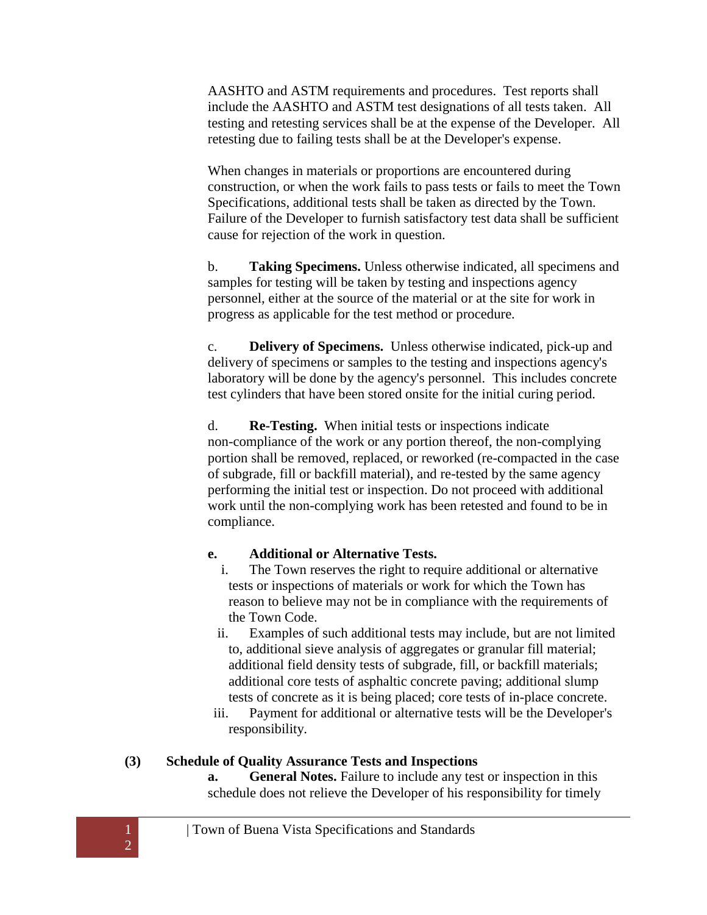AASHTO and ASTM requirements and procedures. Test reports shall include the AASHTO and ASTM test designations of all tests taken. All testing and retesting services shall be at the expense of the Developer. All retesting due to failing tests shall be at the Developer's expense.

When changes in materials or proportions are encountered during construction, or when the work fails to pass tests or fails to meet the Town Specifications, additional tests shall be taken as directed by the Town. Failure of the Developer to furnish satisfactory test data shall be sufficient cause for rejection of the work in question.

b. **Taking Specimens.** Unless otherwise indicated, all specimens and samples for testing will be taken by testing and inspections agency personnel, either at the source of the material or at the site for work in progress as applicable for the test method or procedure.

c. **Delivery of Specimens.** Unless otherwise indicated, pick-up and delivery of specimens or samples to the testing and inspections agency's laboratory will be done by the agency's personnel. This includes concrete test cylinders that have been stored onsite for the initial curing period.

d. **Re-Testing.** When initial tests or inspections indicate non-compliance of the work or any portion thereof, the non-complying portion shall be removed, replaced, or reworked (re-compacted in the case of subgrade, fill or backfill material), and re-tested by the same agency performing the initial test or inspection. Do not proceed with additional work until the non-complying work has been retested and found to be in compliance.

## **e. Additional or Alternative Tests.**

- i. The Town reserves the right to require additional or alternative tests or inspections of materials or work for which the Town has reason to believe may not be in compliance with the requirements of the Town Code.
- ii. Examples of such additional tests may include, but are not limited to, additional sieve analysis of aggregates or granular fill material; additional field density tests of subgrade, fill, or backfill materials; additional core tests of asphaltic concrete paving; additional slump tests of concrete as it is being placed; core tests of in-place concrete.
- iii. Payment for additional or alternative tests will be the Developer's responsibility.

# **(3) Schedule of Quality Assurance Tests and Inspections**

**a. General Notes.** Failure to include any test or inspection in this schedule does not relieve the Developer of his responsibility for timely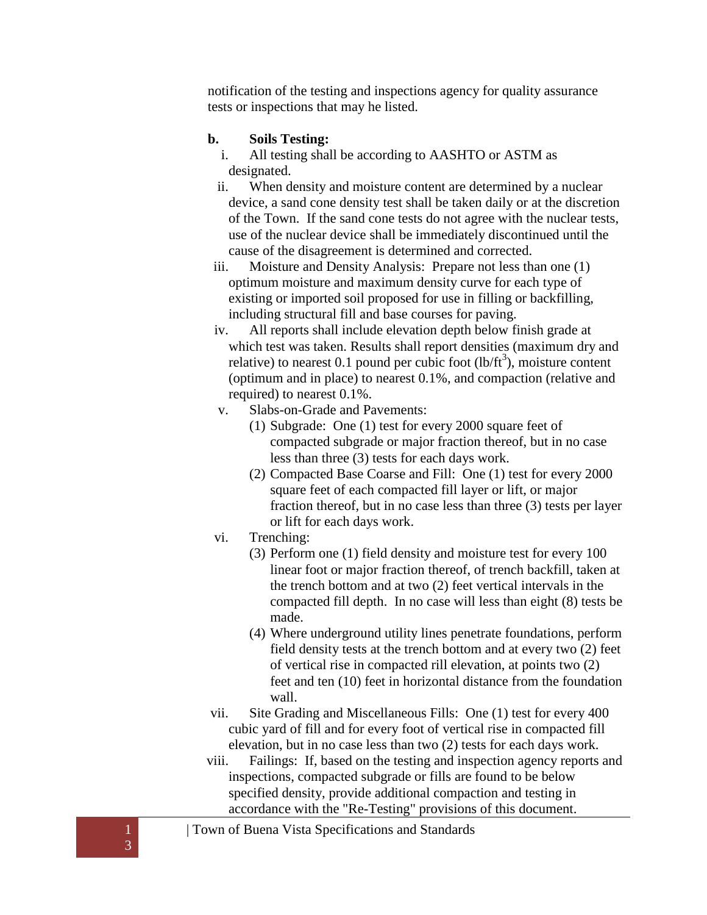notification of the testing and inspections agency for quality assurance tests or inspections that may he listed.

### **b. Soils Testing:**

- i. All testing shall be according to AASHTO or ASTM as designated.
- ii. When density and moisture content are determined by a nuclear device, a sand cone density test shall be taken daily or at the discretion of the Town. If the sand cone tests do not agree with the nuclear tests, use of the nuclear device shall be immediately discontinued until the cause of the disagreement is determined and corrected.
- iii. Moisture and Density Analysis: Prepare not less than one (1) optimum moisture and maximum density curve for each type of existing or imported soil proposed for use in filling or backfilling, including structural fill and base courses for paving.
- iv. All reports shall include elevation depth below finish grade at which test was taken. Results shall report densities (maximum dry and relative) to nearest 0.1 pound per cubic foot  $(lb/ft^3)$ , moisture content (optimum and in place) to nearest 0.1%, and compaction (relative and required) to nearest 0.1%.
- v. Slabs-on-Grade and Pavements:
	- (1) Subgrade: One (1) test for every 2000 square feet of compacted subgrade or major fraction thereof, but in no case less than three (3) tests for each days work.
	- (2) Compacted Base Coarse and Fill: One (1) test for every 2000 square feet of each compacted fill layer or lift, or major fraction thereof, but in no case less than three (3) tests per layer or lift for each days work.
- vi. Trenching:
	- (3) Perform one (1) field density and moisture test for every 100 linear foot or major fraction thereof, of trench backfill, taken at the trench bottom and at two (2) feet vertical intervals in the compacted fill depth. In no case will less than eight (8) tests be made.
	- (4) Where underground utility lines penetrate foundations, perform field density tests at the trench bottom and at every two (2) feet of vertical rise in compacted rill elevation, at points two (2) feet and ten (10) feet in horizontal distance from the foundation wall.
- vii. Site Grading and Miscellaneous Fills: One (1) test for every 400 cubic yard of fill and for every foot of vertical rise in compacted fill elevation, but in no case less than two (2) tests for each days work.
- viii. Failings: If, based on the testing and inspection agency reports and inspections, compacted subgrade or fills are found to be below specified density, provide additional compaction and testing in accordance with the "Re-Testing" provisions of this document.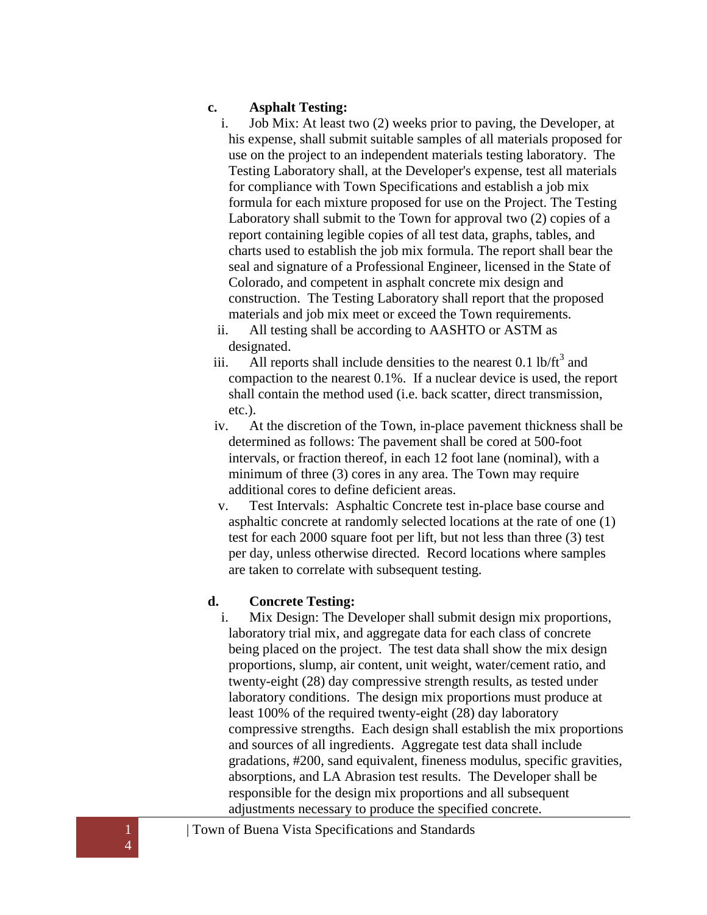#### **c. Asphalt Testing:**

- i. Job Mix: At least two (2) weeks prior to paving, the Developer, at his expense, shall submit suitable samples of all materials proposed for use on the project to an independent materials testing laboratory. The Testing Laboratory shall, at the Developer's expense, test all materials for compliance with Town Specifications and establish a job mix formula for each mixture proposed for use on the Project. The Testing Laboratory shall submit to the Town for approval two (2) copies of a report containing legible copies of all test data, graphs, tables, and charts used to establish the job mix formula. The report shall bear the seal and signature of a Professional Engineer, licensed in the State of Colorado, and competent in asphalt concrete mix design and construction. The Testing Laboratory shall report that the proposed materials and job mix meet or exceed the Town requirements.
- ii. All testing shall be according to AASHTO or ASTM as designated.
- iii. All reports shall include densities to the nearest 0.1 lb/ $\text{ft}^3$  and compaction to the nearest 0.1%. If a nuclear device is used, the report shall contain the method used (i.e. back scatter, direct transmission, etc.).
- iv. At the discretion of the Town, in-place pavement thickness shall be determined as follows: The pavement shall be cored at 500-foot intervals, or fraction thereof, in each 12 foot lane (nominal), with a minimum of three (3) cores in any area. The Town may require additional cores to define deficient areas.
- v. Test Intervals: Asphaltic Concrete test in-place base course and asphaltic concrete at randomly selected locations at the rate of one (1) test for each 2000 square foot per lift, but not less than three (3) test per day, unless otherwise directed. Record locations where samples are taken to correlate with subsequent testing.

# **d. Concrete Testing:**

i. Mix Design: The Developer shall submit design mix proportions, laboratory trial mix, and aggregate data for each class of concrete being placed on the project. The test data shall show the mix design proportions, slump, air content, unit weight, water/cement ratio, and twenty-eight (28) day compressive strength results, as tested under laboratory conditions. The design mix proportions must produce at least 100% of the required twenty-eight (28) day laboratory compressive strengths. Each design shall establish the mix proportions and sources of all ingredients. Aggregate test data shall include gradations, #200, sand equivalent, fineness modulus, specific gravities, absorptions, and LA Abrasion test results. The Developer shall be responsible for the design mix proportions and all subsequent adjustments necessary to produce the specified concrete.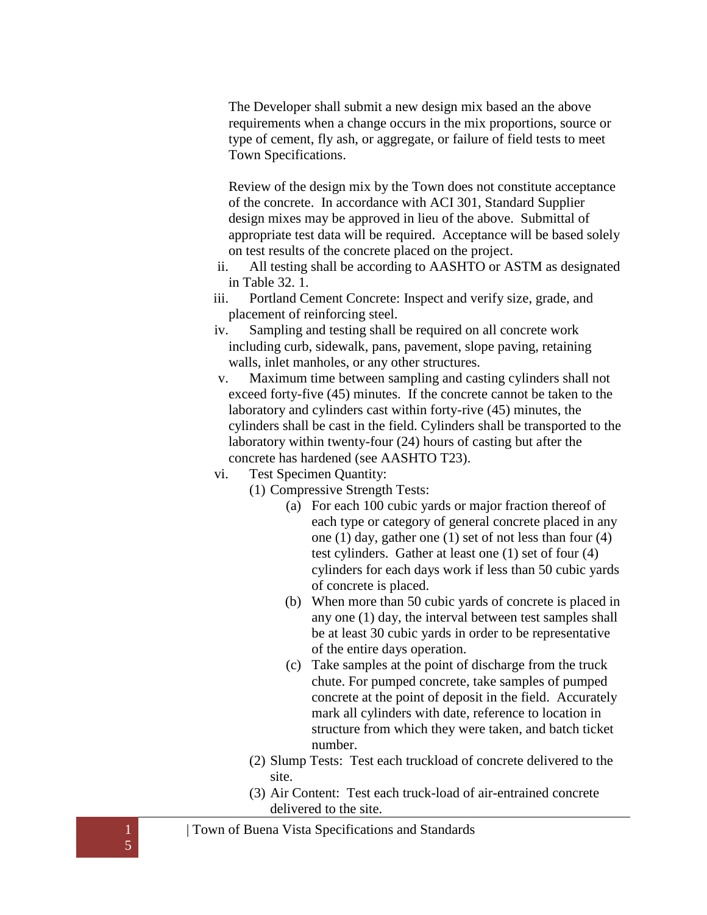The Developer shall submit a new design mix based an the above requirements when a change occurs in the mix proportions, source or type of cement, fly ash, or aggregate, or failure of field tests to meet Town Specifications.

Review of the design mix by the Town does not constitute acceptance of the concrete. In accordance with ACI 301, Standard Supplier design mixes may be approved in lieu of the above. Submittal of appropriate test data will be required. Acceptance will be based solely on test results of the concrete placed on the project.

- ii. All testing shall be according to AASHTO or ASTM as designated in Table 32. 1.
- iii. Portland Cement Concrete: Inspect and verify size, grade, and placement of reinforcing steel.
- iv. Sampling and testing shall be required on all concrete work including curb, sidewalk, pans, pavement, slope paving, retaining walls, inlet manholes, or any other structures.
- v. Maximum time between sampling and casting cylinders shall not exceed forty-five (45) minutes. If the concrete cannot be taken to the laboratory and cylinders cast within forty-rive (45) minutes, the cylinders shall be cast in the field. Cylinders shall be transported to the laboratory within twenty-four (24) hours of casting but after the concrete has hardened (see AASHTO T23).
- vi. Test Specimen Quantity:
	- (1) Compressive Strength Tests:
		- (a) For each 100 cubic yards or major fraction thereof of each type or category of general concrete placed in any one (1) day, gather one (1) set of not less than four (4) test cylinders. Gather at least one (1) set of four (4) cylinders for each days work if less than 50 cubic yards of concrete is placed.
		- (b) When more than 50 cubic yards of concrete is placed in any one (1) day, the interval between test samples shall be at least 30 cubic yards in order to be representative of the entire days operation.
		- (c) Take samples at the point of discharge from the truck chute. For pumped concrete, take samples of pumped concrete at the point of deposit in the field. Accurately mark all cylinders with date, reference to location in structure from which they were taken, and batch ticket number.
	- (2) Slump Tests: Test each truckload of concrete delivered to the site.
	- (3) Air Content: Test each truck-load of air-entrained concrete delivered to the site.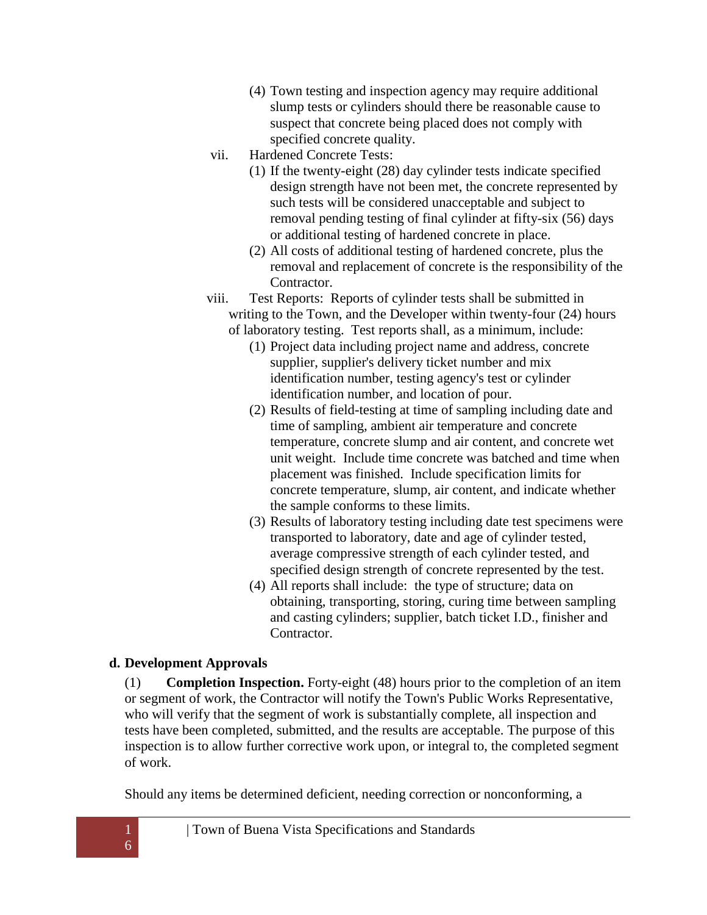- (4) Town testing and inspection agency may require additional slump tests or cylinders should there be reasonable cause to suspect that concrete being placed does not comply with specified concrete quality.
- vii. Hardened Concrete Tests:
	- (1) If the twenty-eight (28) day cylinder tests indicate specified design strength have not been met, the concrete represented by such tests will be considered unacceptable and subject to removal pending testing of final cylinder at fifty-six (56) days or additional testing of hardened concrete in place.
	- (2) All costs of additional testing of hardened concrete, plus the removal and replacement of concrete is the responsibility of the Contractor.
- viii. Test Reports: Reports of cylinder tests shall be submitted in writing to the Town, and the Developer within twenty-four (24) hours of laboratory testing. Test reports shall, as a minimum, include:
	- (1) Project data including project name and address, concrete supplier, supplier's delivery ticket number and mix identification number, testing agency's test or cylinder identification number, and location of pour.
	- (2) Results of field-testing at time of sampling including date and time of sampling, ambient air temperature and concrete temperature, concrete slump and air content, and concrete wet unit weight. Include time concrete was batched and time when placement was finished. Include specification limits for concrete temperature, slump, air content, and indicate whether the sample conforms to these limits.
	- (3) Results of laboratory testing including date test specimens were transported to laboratory, date and age of cylinder tested, average compressive strength of each cylinder tested, and specified design strength of concrete represented by the test.
	- (4) All reports shall include: the type of structure; data on obtaining, transporting, storing, curing time between sampling and casting cylinders; supplier, batch ticket I.D., finisher and Contractor.

## <span id="page-15-0"></span>**d. Development Approvals**

(1) **Completion Inspection.** Forty-eight (48) hours prior to the completion of an item or segment of work, the Contractor will notify the Town's Public Works Representative, who will verify that the segment of work is substantially complete, all inspection and tests have been completed, submitted, and the results are acceptable. The purpose of this inspection is to allow further corrective work upon, or integral to, the completed segment of work.

Should any items be determined deficient, needing correction or nonconforming, a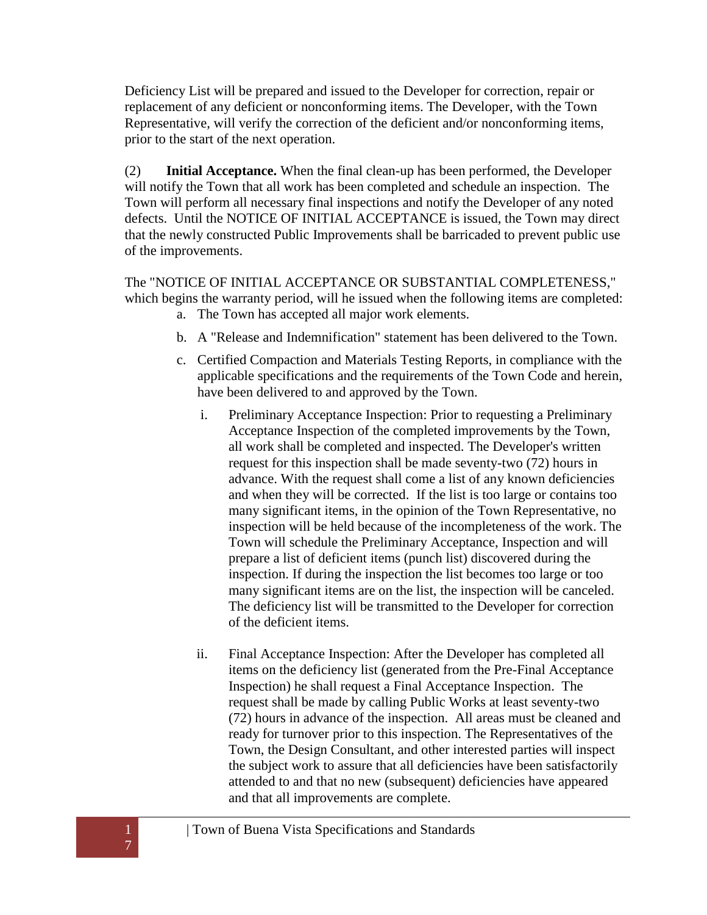Deficiency List will be prepared and issued to the Developer for correction, repair or replacement of any deficient or nonconforming items. The Developer, with the Town Representative, will verify the correction of the deficient and/or nonconforming items, prior to the start of the next operation.

(2) **Initial Acceptance.** When the final clean-up has been performed, the Developer will notify the Town that all work has been completed and schedule an inspection. The Town will perform all necessary final inspections and notify the Developer of any noted defects. Until the NOTICE OF INITIAL ACCEPTANCE is issued, the Town may direct that the newly constructed Public Improvements shall be barricaded to prevent public use of the improvements.

The "NOTICE OF INITIAL ACCEPTANCE OR SUBSTANTIAL COMPLETENESS," which begins the warranty period, will he issued when the following items are completed:

- a. The Town has accepted all major work elements.
- b. A "Release and Indemnification" statement has been delivered to the Town.
- c. Certified Compaction and Materials Testing Reports, in compliance with the applicable specifications and the requirements of the Town Code and herein, have been delivered to and approved by the Town.
	- i. Preliminary Acceptance Inspection: Prior to requesting a Preliminary Acceptance Inspection of the completed improvements by the Town, all work shall be completed and inspected. The Developer's written request for this inspection shall be made seventy-two (72) hours in advance. With the request shall come a list of any known deficiencies and when they will be corrected. If the list is too large or contains too many significant items, in the opinion of the Town Representative, no inspection will be held because of the incompleteness of the work. The Town will schedule the Preliminary Acceptance, Inspection and will prepare a list of deficient items (punch list) discovered during the inspection. If during the inspection the list becomes too large or too many significant items are on the list, the inspection will be canceled. The deficiency list will be transmitted to the Developer for correction of the deficient items.
	- ii. Final Acceptance Inspection: After the Developer has completed all items on the deficiency list (generated from the Pre-Final Acceptance Inspection) he shall request a Final Acceptance Inspection. The request shall be made by calling Public Works at least seventy-two (72) hours in advance of the inspection. All areas must be cleaned and ready for turnover prior to this inspection. The Representatives of the Town, the Design Consultant, and other interested parties will inspect the subject work to assure that all deficiencies have been satisfactorily attended to and that no new (subsequent) deficiencies have appeared and that all improvements are complete.